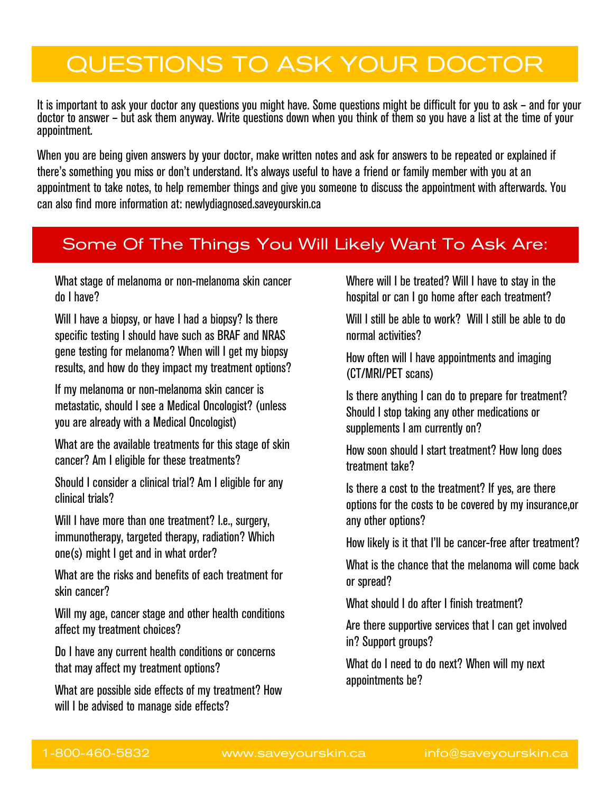# QUESTIONS TO ASK YOUR DOCTOR

It is important to ask your doctor any questions you might have. Some questions might be difficult for you to ask – and for your doctor to answer – but ask them anyway. Write questions down when you think of them so you have a list at the time of your appointment.

When you are being given answers by your doctor, make written notes and ask for answers to be repeated or explained if there's something you miss or don't understand. It's always useful to have a friend or family member with you at an appointment to take notes, to help remember things and give you someone to discuss the appointment with afterwards. You can also find more information at: newlydiagnosed.saveyourskin.ca

# **Some of the things you will likely want to ask are:** Some Of The Things You Will Likely Want To Ask Are:

 What stage of melanoma or non-melanoma skin cancer do I have?

Will I have a biopsy, or have I had a biopsy? Is there specific testing I should have such as BRAF and NRAS gene testing for melanoma? When will I get my biopsy results, and how do they impact my treatment options?

 If my melanoma or non-melanoma skin cancer is metastatic, should I see a Medical Oncologist? (unless you are already with a Medical Oncologist)

 What are the available treatments for this stage of skin cancer? Am I eligible for these treatments?

 Should I consider a clinical trial? Am I eligible for any clinical trials?

Will I have more than one treatment? I.e., surgery, immunotherapy, targeted therapy, radiation? Which one(s) might I get and in what order?

 What are the risks and benefits of each treatment for skin cancer?

 Will my age, cancer stage and other health conditions affect my treatment choices?

 Do I have any current health conditions or concerns that may affect my treatment options?

 What are possible side effects of my treatment? How will I be advised to manage side effects?

 Where will I be treated? Will I have to stay in the hospital or can I go home after each treatment?

Will I still be able to work? Will I still be able to do normal activities?

 How often will I have appointments and imaging (CT/MRI/PET scans)

 Is there anything I can do to prepare for treatment? Should I stop taking any other medications or supplements I am currently on?

 How soon should I start treatment? How long does treatment take?

 Is there a cost to the treatment? If yes, are there options for the costs to be covered by my insurance,or any other options?

How likely is it that I'll be cancer-free after treatment?

 What is the chance that the melanoma will come back or spread?

What should I do after I finish treatment?

 Are there supportive services that I can get involved in? Support groups?

 What do I need to do next? When will my next appointments be?